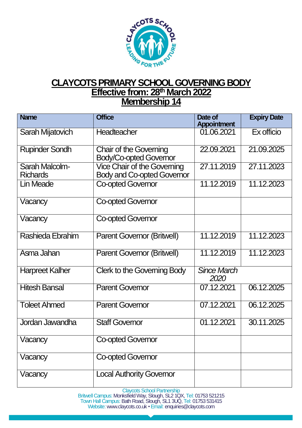

## **CLAYCOTS PRIMARY SCHOOL GOVERNING BODY Effective from: 28<sup>th</sup> March 2022 Membership 14**

| <b>Name</b>                       | <b>Office</b>                                                           | Date of<br><b>Appointment</b> | <b>Expiry Date</b> |
|-----------------------------------|-------------------------------------------------------------------------|-------------------------------|--------------------|
| Sarah Mijatovich                  | Headteacher                                                             | 01.06.2021                    | Ex officio         |
| <b>Rupinder Sondh</b>             | <b>Chair of the Governing</b><br><b>Body/Co-opted Governor</b>          | 22.09.2021                    | 21.09.2025         |
| Sarah Malcolm-<br><b>Richards</b> | <b>Vice Chair of the Governing</b><br><b>Body and Co-opted Governor</b> | 27.11.2019                    | 27.11.2023         |
| <b>Lin Meade</b>                  | <b>Co-opted Governor</b>                                                | 11.12.2019                    | 11.12.2023         |
| Vacancy                           | <b>Co-opted Governor</b>                                                |                               |                    |
| Vacancy                           | <b>Co-opted Governor</b>                                                |                               |                    |
| <b>Rashieda Ebrahim</b>           | Parent Governor (Britwell)                                              | 11.12.2019                    | 11.12.2023         |
| Asma Jahan                        | <b>Parent Governor (Britwell)</b>                                       | 11.12.2019                    | 11.12.2023         |
| <b>Harpreet Kalher</b>            | <b>Clerk to the Governing Body</b>                                      | <b>Since March</b><br>2020    |                    |
| <b>Hitesh Bansal</b>              | <b>Parent Governor</b>                                                  | 07.12.2021                    | 06.12.2025         |
| <b>Toleet Ahmed</b>               | <b>Parent Governor</b>                                                  | 07.12.2021                    | 06.12.2025         |
| Jordan Jawandha                   | <b>Staff Governor</b>                                                   | 01.12.2021                    | 30.11.2025         |
| Vacancy                           | <b>Co-opted Governor</b>                                                |                               |                    |
| Vacancy                           | <b>Co-opted Governor</b>                                                |                               |                    |
| Vacancy                           | <b>Local Authority Governor</b>                                         |                               |                    |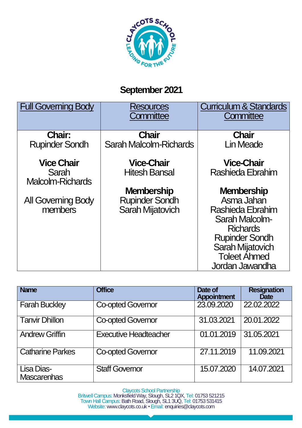

## **September 2021**

| <b>Full Governing Body</b>       | <b>Resources</b><br>Committee | <b>Curriculum &amp; Standards</b><br>Committee |
|----------------------------------|-------------------------------|------------------------------------------------|
| <b>Chair:</b>                    | <b>Chair</b>                  | <b>Chair</b>                                   |
| <b>Rupinder Sondh</b>            | Sarah Malcolm-Richards        | <b>Lin Meade</b>                               |
| <b>Vice Chair</b>                | <b>Vice-Chair</b>             | <b>Vice-Chair</b>                              |
| Sarah<br><b>Malcolm-Richards</b> | <b>Hitesh Bansal</b>          | Rashieda Ebrahim                               |
|                                  | <b>Membership</b>             | <b>Membership</b>                              |
| <b>All Governing Body</b>        | <b>Rupinder Sondh</b>         | Asma Jahan                                     |
| members                          | <b>Sarah Mijatovich</b>       | Rashieda Ebrahim                               |
|                                  |                               | Sarah Malcolm-                                 |
|                                  |                               | <b>Richards</b>                                |
|                                  |                               | <b>Rupinder Sondh</b>                          |
|                                  |                               | Sarah Mijatovich<br><b>Toleet Åhmed</b>        |
|                                  |                               |                                                |
|                                  |                               | Jordan Jawandha                                |

| <b>Name</b>                      | <b>Office</b>                | Date of<br><b>Appointment</b> | <b>Resignation</b><br><b>Date</b> |
|----------------------------------|------------------------------|-------------------------------|-----------------------------------|
| <b>Farah Buckley</b>             | <b>Co-opted Governor</b>     | 23.09.2020                    | 22,02,2022                        |
| <b>Tanvir Dhillon</b>            | <b>Co-opted Governor</b>     | 31.03.2021                    | 20.01.2022                        |
| <b>Andrew Griffin</b>            | <b>Executive Headteacher</b> | 01.01.2019                    | 31.05.2021                        |
| Catharine Parkes                 | <b>Co-opted Governor</b>     | 27.11.2019                    | 11.09.2021                        |
| Lisa Dias-<br><b>Mascarenhas</b> | <b>Staff Governor</b>        | 15.07.2020                    | 14.07.2021                        |

Claycots School Partnership Britwell Campus: Monksfield Way, Slough, SL2 1QX, Tel: 01753 521215

Town Hall Campus: Bath Road, Slough, SL1 3UQ, Tel: 01753 531415 Website: www.claycots.co.uk · Email: enquiries@claycots.com